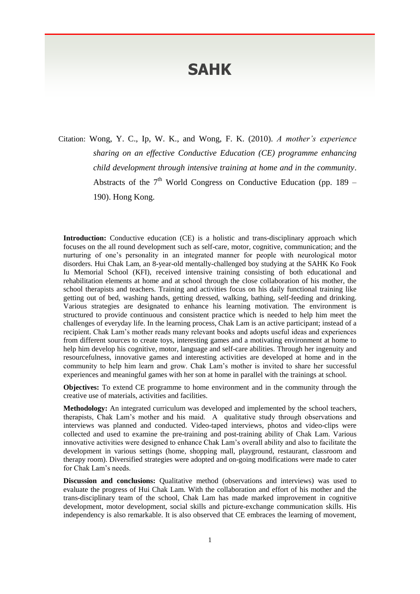## **SAHK**

Citation: Wong, Y. C., Ip, W. K., and Wong, F. K. (2010). *A mother's experience sharing on an effective Conductive Education (CE) programme enhancing child development through intensive training at home and in the community*. Abstracts of the  $7<sup>th</sup>$  World Congress on Conductive Education (pp. 189 – 190). Hong Kong.

**Introduction:** Conductive education (CE) is a holistic and trans-disciplinary approach which focuses on the all round development such as self-care, motor, cognitive, communication; and the nurturing of one's personality in an integrated manner for people with neurological motor disorders. Hui Chak Lam, an 8-year-old mentally-challenged boy studying at the SAHK Ko Fook Iu Memorial School (KFI), received intensive training consisting of both educational and rehabilitation elements at home and at school through the close collaboration of his mother, the school therapists and teachers. Training and activities focus on his daily functional training like getting out of bed, washing hands, getting dressed, walking, bathing, self-feeding and drinking. Various strategies are designated to enhance his learning motivation. The environment is structured to provide continuous and consistent practice which is needed to help him meet the challenges of everyday life. In the learning process, Chak Lam is an active participant; instead of a recipient. Chak Lam's mother reads many relevant books and adopts useful ideas and experiences from different sources to create toys, interesting games and a motivating environment at home to help him develop his cognitive, motor, language and self-care abilities. Through her ingenuity and resourcefulness, innovative games and interesting activities are developed at home and in the community to help him learn and grow. Chak Lam's mother is invited to share her successful experiences and meaningful games with her son at home in parallel with the trainings at school.

**Objectives:** To extend CE programme to home environment and in the community through the creative use of materials, activities and facilities.

**Methodology:** An integrated curriculum was developed and implemented by the school teachers, therapists, Chak Lam's mother and his maid. A qualitative study through observations and interviews was planned and conducted. Video-taped interviews, photos and video-clips were collected and used to examine the pre-training and post-training ability of Chak Lam. Various innovative activities were designed to enhance Chak Lam's overall ability and also to facilitate the development in various settings (home, shopping mall, playground, restaurant, classroom and therapy room). Diversified strategies were adopted and on-going modifications were made to cater for Chak Lam's needs.

**Discussion and conclusions:** Qualitative method (observations and interviews) was used to evaluate the progress of Hui Chak Lam. With the collaboration and effort of his mother and the trans-disciplinary team of the school, Chak Lam has made marked improvement in cognitive development, motor development, social skills and picture-exchange communication skills. His independency is also remarkable. It is also observed that CE embraces the learning of movement,